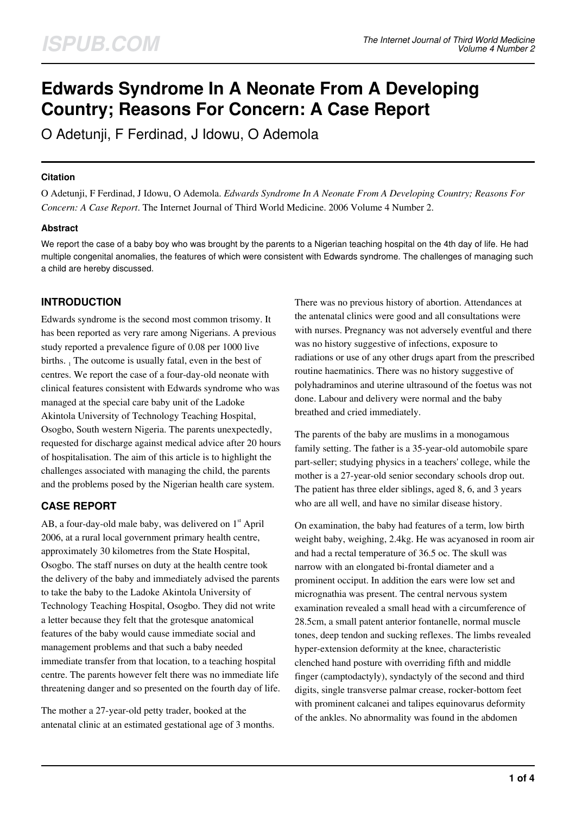# **Edwards Syndrome In A Neonate From A Developing Country; Reasons For Concern: A Case Report**

O Adetunji, F Ferdinad, J Idowu, O Ademola

## **Citation**

O Adetunji, F Ferdinad, J Idowu, O Ademola. *Edwards Syndrome In A Neonate From A Developing Country; Reasons For Concern: A Case Report*. The Internet Journal of Third World Medicine. 2006 Volume 4 Number 2.

## **Abstract**

We report the case of a baby boy who was brought by the parents to a Nigerian teaching hospital on the 4th day of life. He had multiple congenital anomalies, the features of which were consistent with Edwards syndrome. The challenges of managing such a child are hereby discussed.

## **INTRODUCTION**

Edwards syndrome is the second most common trisomy. It has been reported as very rare among Nigerians. A previous study reported a prevalence figure of 0.08 per 1000 live births. <sub>1</sub> The outcome is usually fatal, even in the best of centres. We report the case of a four-day-old neonate with clinical features consistent with Edwards syndrome who was managed at the special care baby unit of the Ladoke Akintola University of Technology Teaching Hospital, Osogbo, South western Nigeria. The parents unexpectedly, requested for discharge against medical advice after 20 hours of hospitalisation. The aim of this article is to highlight the challenges associated with managing the child, the parents and the problems posed by the Nigerian health care system.

## **CASE REPORT**

AB, a four-day-old male baby, was delivered on  $1<sup>st</sup>$  April 2006, at a rural local government primary health centre, approximately 30 kilometres from the State Hospital, Osogbo. The staff nurses on duty at the health centre took the delivery of the baby and immediately advised the parents to take the baby to the Ladoke Akintola University of Technology Teaching Hospital, Osogbo. They did not write a letter because they felt that the grotesque anatomical features of the baby would cause immediate social and management problems and that such a baby needed immediate transfer from that location, to a teaching hospital centre. The parents however felt there was no immediate life threatening danger and so presented on the fourth day of life.

The mother a 27-year-old petty trader, booked at the antenatal clinic at an estimated gestational age of 3 months. There was no previous history of abortion. Attendances at the antenatal clinics were good and all consultations were with nurses. Pregnancy was not adversely eventful and there was no history suggestive of infections, exposure to radiations or use of any other drugs apart from the prescribed routine haematinics. There was no history suggestive of polyhadraminos and uterine ultrasound of the foetus was not done. Labour and delivery were normal and the baby breathed and cried immediately.

The parents of the baby are muslims in a monogamous family setting. The father is a 35-year-old automobile spare part-seller; studying physics in a teachers' college, while the mother is a 27-year-old senior secondary schools drop out. The patient has three elder siblings, aged 8, 6, and 3 years who are all well, and have no similar disease history.

On examination, the baby had features of a term, low birth weight baby, weighing, 2.4kg. He was acyanosed in room air and had a rectal temperature of 36.5 oc. The skull was narrow with an elongated bi-frontal diameter and a prominent occiput. In addition the ears were low set and micrognathia was present. The central nervous system examination revealed a small head with a circumference of 28.5cm, a small patent anterior fontanelle, normal muscle tones, deep tendon and sucking reflexes. The limbs revealed hyper-extension deformity at the knee, characteristic clenched hand posture with overriding fifth and middle finger (camptodactyly), syndactyly of the second and third digits, single transverse palmar crease, rocker-bottom feet with prominent calcanei and talipes equinovarus deformity of the ankles. No abnormality was found in the abdomen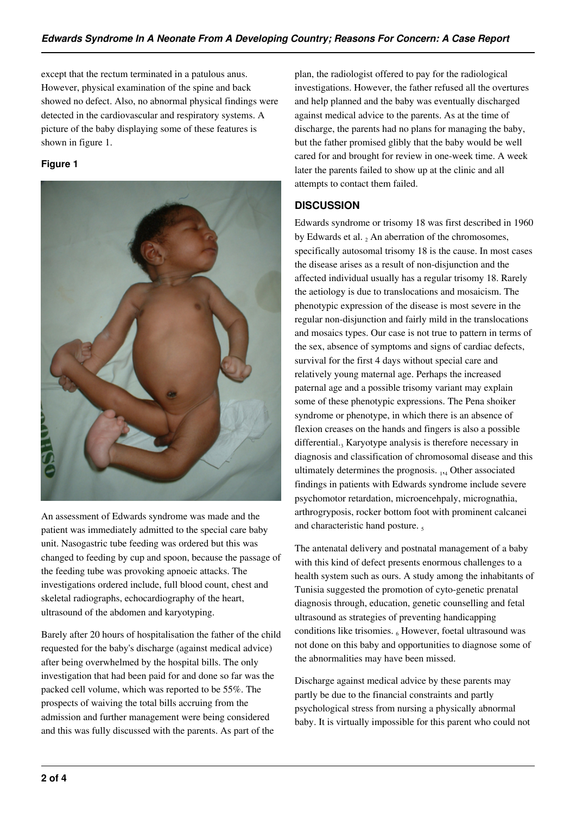except that the rectum terminated in a patulous anus. However, physical examination of the spine and back showed no defect. Also, no abnormal physical findings were detected in the cardiovascular and respiratory systems. A picture of the baby displaying some of these features is shown in figure 1.

## **Figure 1**



An assessment of Edwards syndrome was made and the patient was immediately admitted to the special care baby unit. Nasogastric tube feeding was ordered but this was changed to feeding by cup and spoon, because the passage of the feeding tube was provoking apnoeic attacks. The investigations ordered include, full blood count, chest and skeletal radiographs, echocardiography of the heart, ultrasound of the abdomen and karyotyping.

Barely after 20 hours of hospitalisation the father of the child requested for the baby's discharge (against medical advice) after being overwhelmed by the hospital bills. The only investigation that had been paid for and done so far was the packed cell volume, which was reported to be 55%. The prospects of waiving the total bills accruing from the admission and further management were being considered and this was fully discussed with the parents. As part of the

plan, the radiologist offered to pay for the radiological investigations. However, the father refused all the overtures and help planned and the baby was eventually discharged against medical advice to the parents. As at the time of discharge, the parents had no plans for managing the baby, but the father promised glibly that the baby would be well cared for and brought for review in one-week time. A week later the parents failed to show up at the clinic and all attempts to contact them failed.

# **DISCUSSION**

Edwards syndrome or trisomy 18 was first described in 1960 by Edwards et al.  $_2$  An aberration of the chromosomes, specifically autosomal trisomy 18 is the cause. In most cases the disease arises as a result of non-disjunction and the affected individual usually has a regular trisomy 18. Rarely the aetiology is due to translocations and mosaicism. The phenotypic expression of the disease is most severe in the regular non-disjunction and fairly mild in the translocations and mosaics types. Our case is not true to pattern in terms of the sex, absence of symptoms and signs of cardiac defects, survival for the first 4 days without special care and relatively young maternal age. Perhaps the increased paternal age and a possible trisomy variant may explain some of these phenotypic expressions. The Pena shoiker syndrome or phenotype, in which there is an absence of flexion creases on the hands and fingers is also a possible differential.<sub>3</sub> Karyotype analysis is therefore necessary in diagnosis and classification of chromosomal disease and this ultimately determines the prognosis. 1,4 Other associated findings in patients with Edwards syndrome include severe psychomotor retardation, microencehpaly, micrognathia, arthrogryposis, rocker bottom foot with prominent calcanei and characteristic hand posture.

The antenatal delivery and postnatal management of a baby with this kind of defect presents enormous challenges to a health system such as ours. A study among the inhabitants of Tunisia suggested the promotion of cyto-genetic prenatal diagnosis through, education, genetic counselling and fetal ultrasound as strategies of preventing handicapping conditions like trisomies.  $_6$  However, foetal ultrasound was not done on this baby and opportunities to diagnose some of the abnormalities may have been missed.

Discharge against medical advice by these parents may partly be due to the financial constraints and partly psychological stress from nursing a physically abnormal baby. It is virtually impossible for this parent who could not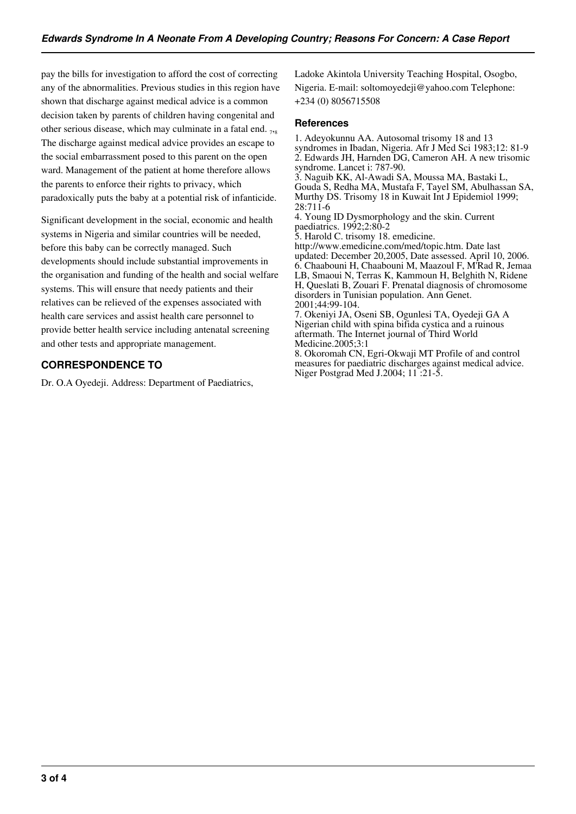pay the bills for investigation to afford the cost of correcting any of the abnormalities. Previous studies in this region have shown that discharge against medical advice is a common decision taken by parents of children having congenital and other serious disease, which may culminate in a fatal end.  $_{78}$ The discharge against medical advice provides an escape to the social embarrassment posed to this parent on the open ward. Management of the patient at home therefore allows the parents to enforce their rights to privacy, which paradoxically puts the baby at a potential risk of infanticide.

Significant development in the social, economic and health systems in Nigeria and similar countries will be needed, before this baby can be correctly managed. Such developments should include substantial improvements in the organisation and funding of the health and social welfare systems. This will ensure that needy patients and their relatives can be relieved of the expenses associated with health care services and assist health care personnel to provide better health service including antenatal screening and other tests and appropriate management.

## **CORRESPONDENCE TO**

Dr. O.A Oyedeji. Address: Department of Paediatrics,

Ladoke Akintola University Teaching Hospital, Osogbo, Nigeria. E-mail: soltomoyedeji@yahoo.com Telephone: +234 (0) 8056715508

#### **References**

1. Adeyokunnu AA. Autosomal trisomy 18 and 13 syndromes in Ibadan, Nigeria. Afr J Med Sci 1983;12: 81-9 2. Edwards JH, Harnden DG, Cameron AH. A new trisomic syndrome. Lancet i: 787-90. 3. Naguib KK, Al-Awadi SA, Moussa MA, Bastaki L, Gouda S, Redha MA, Mustafa F, Tayel SM, Abulhassan SA, Murthy DS. Trisomy 18 in Kuwait Int J Epidemiol 1999; 28:711-6 4. Young ID Dysmorphology and the skin. Current paediatrics. 1992;2:80-2 5. Harold C. trisomy 18. emedicine. http://www.emedicine.com/med/topic.htm. Date last updated: December 20,2005, Date assessed. April 10, 2006. 6. Chaabouni H, Chaabouni M, Maazoul F, M'Rad R, Jemaa LB, Smaoui N, Terras K, Kammoun H, Belghith N, Ridene H, Queslati B, Zouari F. Prenatal diagnosis of chromosome disorders in Tunisian population. Ann Genet. 2001;44:99-104. 7. Okeniyi JA, Oseni SB, Ogunlesi TA, Oyedeji GA A Nigerian child with spina bifida cystica and a ruinous

aftermath. The Internet journal of Third World Medicine.2005;3:1

8. Okoromah CN, Egri-Okwaji MT Profile of and control measures for paediatric discharges against medical advice. Niger Postgrad Med J.2004; 11 :21-5.